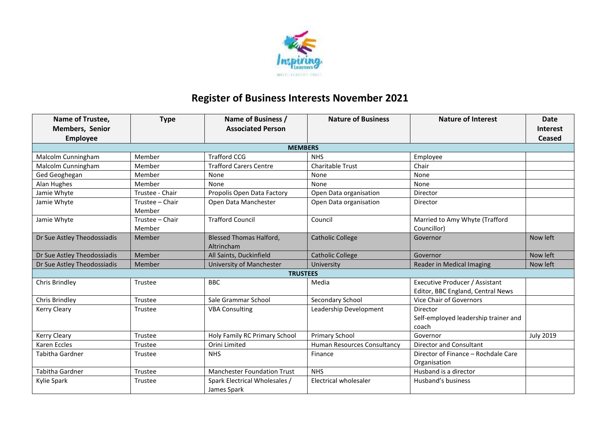

## **Register of Business Interests November 2021**

| Name of Trustee,<br><b>Members, Senior</b><br><b>Employee</b> | <b>Type</b>               | Name of Business /<br><b>Associated Person</b> | <b>Nature of Business</b>    | <b>Nature of Interest</b>                                           | <b>Date</b><br><b>Interest</b><br>Ceased |  |  |
|---------------------------------------------------------------|---------------------------|------------------------------------------------|------------------------------|---------------------------------------------------------------------|------------------------------------------|--|--|
| <b>MEMBERS</b>                                                |                           |                                                |                              |                                                                     |                                          |  |  |
| Malcolm Cunningham                                            | Member                    | <b>Trafford CCG</b>                            | <b>NHS</b>                   | Employee                                                            |                                          |  |  |
| Malcolm Cunningham                                            | Member                    | <b>Trafford Carers Centre</b>                  | <b>Charitable Trust</b>      | Chair                                                               |                                          |  |  |
| Ged Geoghegan                                                 | Member                    | None                                           | None                         | None                                                                |                                          |  |  |
| Alan Hughes                                                   | Member                    | None                                           | None                         | None                                                                |                                          |  |  |
| Jamie Whyte                                                   | Trustee - Chair           | Propolis Open Data Factory                     | Open Data organisation       | Director                                                            |                                          |  |  |
| Jamie Whyte                                                   | Trustee - Chair<br>Member | Open Data Manchester                           | Open Data organisation       | Director                                                            |                                          |  |  |
| Jamie Whyte                                                   | Trustee - Chair<br>Member | <b>Trafford Council</b>                        | Council                      | Married to Amy Whyte (Trafford<br>Councillor)                       |                                          |  |  |
| Dr Sue Astley Theodossiadis                                   | Member                    | <b>Blessed Thomas Halford,</b><br>Altrincham   | <b>Catholic College</b>      | Governor                                                            | Now left                                 |  |  |
| Dr Sue Astley Theodossiadis                                   | Member                    | All Saints, Duckinfield                        | <b>Catholic College</b>      | Governor                                                            | Now left                                 |  |  |
| Dr Sue Astley Theodossiadis                                   | Member                    | University of Manchester                       | University                   | <b>Reader in Medical Imaging</b>                                    | Now left                                 |  |  |
| <b>TRUSTEES</b>                                               |                           |                                                |                              |                                                                     |                                          |  |  |
| Chris Brindley                                                | Trustee                   | <b>BBC</b>                                     | Media                        | Executive Producer / Assistant<br>Editor, BBC England, Central News |                                          |  |  |
| Chris Brindley                                                | Trustee                   | Sale Grammar School                            | Secondary School             | <b>Vice Chair of Governors</b>                                      |                                          |  |  |
| <b>Kerry Cleary</b>                                           | Trustee                   | <b>VBA Consulting</b>                          | Leadership Development       | Director<br>Self-employed leadership trainer and<br>coach           |                                          |  |  |
| <b>Kerry Cleary</b>                                           | Trustee                   | Holy Family RC Primary School                  | <b>Primary School</b>        | Governor                                                            | <b>July 2019</b>                         |  |  |
| Karen Eccles                                                  | Trustee                   | Orini Limited                                  | Human Resources Consultancy  | <b>Director and Consultant</b>                                      |                                          |  |  |
| <b>Tabitha Gardner</b>                                        | Trustee                   | <b>NHS</b>                                     | Finance                      | Director of Finance - Rochdale Care<br>Organisation                 |                                          |  |  |
| <b>Tabitha Gardner</b>                                        | Trustee                   | <b>Manchester Foundation Trust</b>             | <b>NHS</b>                   | Husband is a director                                               |                                          |  |  |
| Kylie Spark                                                   | Trustee                   | Spark Electrical Wholesales /<br>James Spark   | <b>Electrical wholesaler</b> | Husband's business                                                  |                                          |  |  |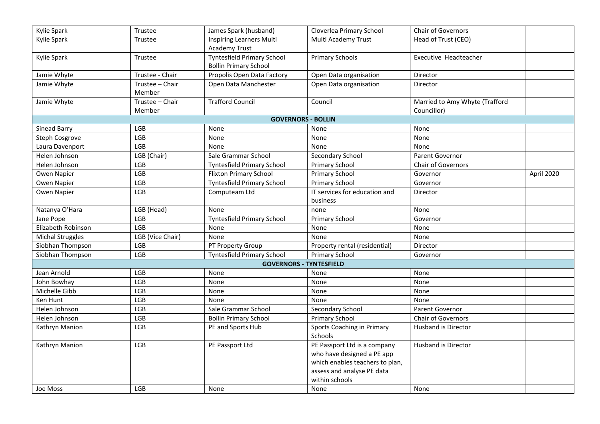| Kylie Spark             | Trustee          | James Spark (husband)             | Cloverlea Primary School        | Chair of Governors             |            |
|-------------------------|------------------|-----------------------------------|---------------------------------|--------------------------------|------------|
| Kylie Spark             | Trustee          | Inspiring Learners Multi          | Multi Academy Trust             | Head of Trust (CEO)            |            |
|                         |                  | <b>Academy Trust</b>              |                                 |                                |            |
| Kylie Spark             | Trustee          | <b>Tyntesfield Primary School</b> | <b>Primary Schools</b>          | <b>Executive Headteacher</b>   |            |
|                         |                  | <b>Bollin Primary School</b>      |                                 |                                |            |
| Jamie Whyte             | Trustee - Chair  | Propolis Open Data Factory        | Open Data organisation          | Director                       |            |
| Jamie Whyte             | Trustee – Chair  | Open Data Manchester              | Open Data organisation          | Director                       |            |
|                         | Member           |                                   |                                 |                                |            |
| Jamie Whyte             | Trustee - Chair  | <b>Trafford Council</b>           | Council                         | Married to Amy Whyte (Trafford |            |
|                         | Member           |                                   |                                 | Councillor)                    |            |
|                         |                  |                                   | <b>GOVERNORS - BOLLIN</b>       |                                |            |
| Sinead Barry            | LGB              | None                              | None                            | None                           |            |
| Steph Cosgrove          | LGB              | None                              | None                            | None                           |            |
| Laura Davenport         | LGB              | None                              | None                            | None                           |            |
| Helen Johnson           | LGB (Chair)      | Sale Grammar School               | Secondary School                | <b>Parent Governor</b>         |            |
| Helen Johnson           | LGB              | <b>Tyntesfield Primary School</b> | <b>Primary School</b>           | Chair of Governors             |            |
| Owen Napier             | LGB              | <b>Flixton Primary School</b>     | <b>Primary School</b>           | Governor                       | April 2020 |
| Owen Napier             | LGB              | <b>Tyntesfield Primary School</b> | <b>Primary School</b>           | Governor                       |            |
| Owen Napier             | LGB              | Computeam Ltd                     | IT services for education and   | Director                       |            |
|                         |                  |                                   | business                        |                                |            |
| Natanya O'Hara          | LGB (Head)       | None                              | none                            | None                           |            |
| Jane Pope               | LGB              | <b>Tyntesfield Primary School</b> | <b>Primary School</b>           | Governor                       |            |
| Elizabeth Robinson      | LGB              | None                              | None                            | None                           |            |
| <b>Michal Struggles</b> | LGB (Vice Chair) | None                              | None                            | None                           |            |
| Siobhan Thompson        | LGB              | PT Property Group                 | Property rental (residential)   | Director                       |            |
| Siobhan Thompson        | LGB              | <b>Tyntesfield Primary School</b> | <b>Primary School</b>           | Governor                       |            |
|                         |                  |                                   | <b>GOVERNORS - TYNTESFIELD</b>  |                                |            |
| Jean Arnold             | LGB              | None                              | None                            | None                           |            |
| John Bowhay             | LGB              | None                              | None                            | None                           |            |
| Michelle Gibb           | LGB              | None                              | None                            | None                           |            |
| Ken Hunt                | LGB              | None                              | None                            | None                           |            |
| Helen Johnson           | LGB              | Sale Grammar School               | Secondary School                | Parent Governor                |            |
| Helen Johnson           | LGB              | <b>Bollin Primary School</b>      | <b>Primary School</b>           | <b>Chair of Governors</b>      |            |
| Kathryn Manion          | LGB              | PE and Sports Hub                 | Sports Coaching in Primary      | <b>Husband is Director</b>     |            |
|                         |                  |                                   | <b>Schools</b>                  |                                |            |
| Kathryn Manion          | <b>LGB</b>       | PE Passport Ltd                   | PE Passport Ltd is a company    | <b>Husband is Director</b>     |            |
|                         |                  |                                   | who have designed a PE app      |                                |            |
|                         |                  |                                   | which enables teachers to plan, |                                |            |
|                         |                  |                                   | assess and analyse PE data      |                                |            |
|                         |                  |                                   | within schools                  |                                |            |
| Joe Moss                | <b>LGB</b>       | None                              | None                            | None                           |            |